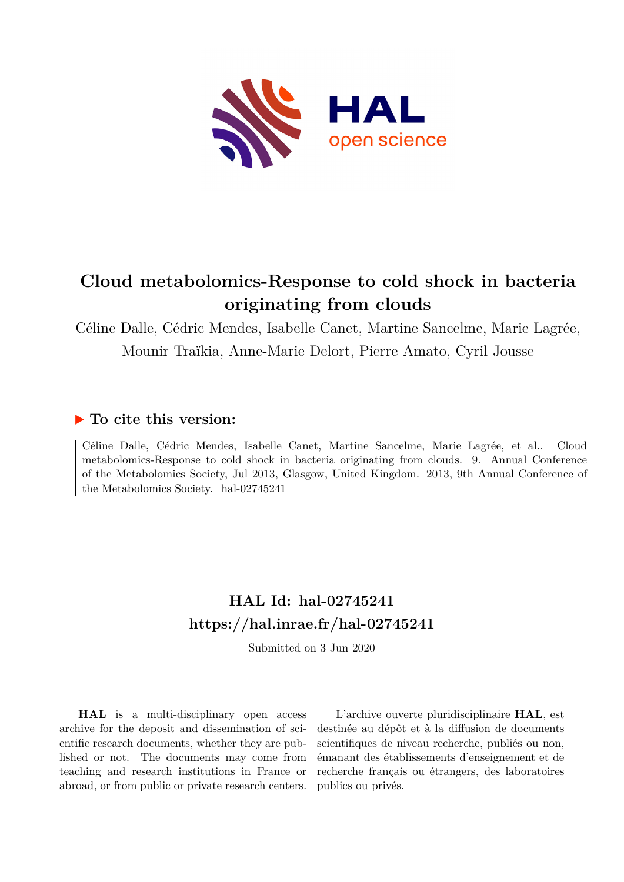

## **Cloud metabolomics-Response to cold shock in bacteria originating from clouds**

Céline Dalle, Cédric Mendes, Isabelle Canet, Martine Sancelme, Marie Lagrée, Mounir Traïkia, Anne-Marie Delort, Pierre Amato, Cyril Jousse

## **To cite this version:**

Céline Dalle, Cédric Mendes, Isabelle Canet, Martine Sancelme, Marie Lagrée, et al.. Cloud metabolomics-Response to cold shock in bacteria originating from clouds. 9. Annual Conference of the Metabolomics Society, Jul 2013, Glasgow, United Kingdom. 2013, 9th Annual Conference of the Metabolomics Society. hal-02745241

## **HAL Id: hal-02745241 <https://hal.inrae.fr/hal-02745241>**

Submitted on 3 Jun 2020

**HAL** is a multi-disciplinary open access archive for the deposit and dissemination of scientific research documents, whether they are published or not. The documents may come from teaching and research institutions in France or abroad, or from public or private research centers.

L'archive ouverte pluridisciplinaire **HAL**, est destinée au dépôt et à la diffusion de documents scientifiques de niveau recherche, publiés ou non, émanant des établissements d'enseignement et de recherche français ou étrangers, des laboratoires publics ou privés.